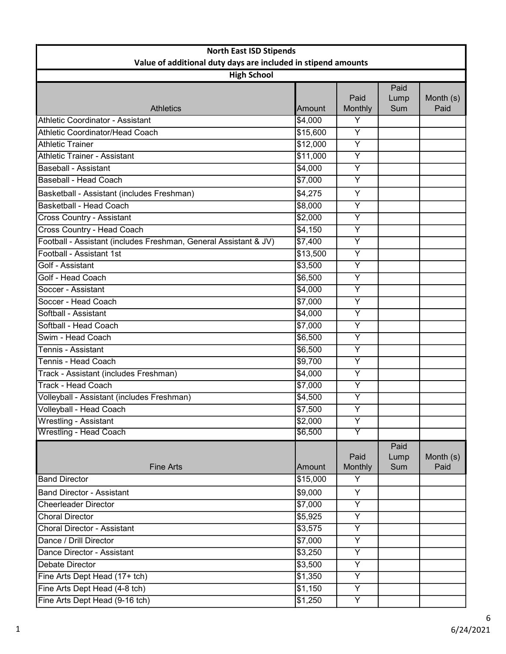| <b>North East ISD Stipends</b>                                                      |                 |                 |                     |                   |
|-------------------------------------------------------------------------------------|-----------------|-----------------|---------------------|-------------------|
| Value of additional duty days are included in stipend amounts<br><b>High School</b> |                 |                 |                     |                   |
|                                                                                     |                 |                 | Paid                |                   |
|                                                                                     |                 | Paid            | Lump                | Month (s)         |
| <b>Athletics</b>                                                                    | <b>Amount</b>   | Monthly         | Sum                 | Paid              |
| Athletic Coordinator - Assistant                                                    | \$4,000         | Y               |                     |                   |
| Athletic Coordinator/Head Coach                                                     | \$15,600        | $\overline{Y}$  |                     |                   |
| Athletic Trainer                                                                    | \$12,000        | $\overline{Y}$  |                     |                   |
| Athletic Trainer - Assistant                                                        | \$11,000        | $\overline{Y}$  |                     |                   |
| <b>Baseball - Assistant</b>                                                         | \$4,000         | Y               |                     |                   |
| Baseball - Head Coach                                                               | \$7,000         | $\overline{Y}$  |                     |                   |
| Basketball - Assistant (includes Freshman)                                          | \$4,275         | Y               |                     |                   |
| Basketball - Head Coach                                                             | \$8,000         | $\overline{Y}$  |                     |                   |
| <b>Cross Country - Assistant</b>                                                    | \$2,000         | $\overline{Y}$  |                     |                   |
| Cross Country - Head Coach                                                          | \$4,150         | Y               |                     |                   |
| Football - Assistant (includes Freshman, General Assistant & JV)                    | \$7,400         | Y               |                     |                   |
| Football - Assistant 1st                                                            | \$13,500        | $\overline{Y}$  |                     |                   |
| Golf - Assistant                                                                    | \$3,500         | $\overline{Y}$  |                     |                   |
| Golf - Head Coach                                                                   | \$6,500         | Υ               |                     |                   |
| Soccer - Assistant                                                                  | \$4,000         | $\overline{Y}$  |                     |                   |
| Soccer - Head Coach                                                                 | \$7,000         | $\overline{Y}$  |                     |                   |
| Softball - Assistant                                                                | \$4,000         | Y               |                     |                   |
| Softball - Head Coach                                                               | \$7,000         | Y               |                     |                   |
| Swim - Head Coach                                                                   | \$6,500         | Y               |                     |                   |
| Tennis - Assistant                                                                  | \$6,500         | $\overline{Y}$  |                     |                   |
| Tennis - Head Coach                                                                 | \$9,700         | Y               |                     |                   |
| Track - Assistant (includes Freshman)                                               | \$4,000         | $\overline{Y}$  |                     |                   |
| <b>Track - Head Coach</b>                                                           | \$7,000         | $\overline{Y}$  |                     |                   |
| Volleyball - Assistant (includes Freshman)                                          | \$4,500         | Ÿ               |                     |                   |
| Volleyball - Head Coach                                                             | \$7,500         | $\overline{Y}$  |                     |                   |
| <b>Wrestling - Assistant</b>                                                        | \$2,000         | $\overline{Y}$  |                     |                   |
| <b>Wrestling - Head Coach</b>                                                       | \$6,500         | Y               |                     |                   |
| <b>Fine Arts</b>                                                                    | Amount          | Paid<br>Monthly | Paid<br>Lump<br>Sum | Month (s)<br>Paid |
| <b>Band Director</b>                                                                | \$15,000        | Y               |                     |                   |
| <b>Band Director - Assistant</b>                                                    | \$9,000         | Y               |                     |                   |
| <b>Cheerleader Director</b>                                                         | $\sqrt{$7,000}$ | $\overline{Y}$  |                     |                   |
| <b>Choral Director</b>                                                              | \$5,925         | Y               |                     |                   |
| Choral Director - Assistant                                                         | \$3,575         | $\overline{Y}$  |                     |                   |
| Dance / Drill Director                                                              | \$7,000         | Y               |                     |                   |
| Dance Director - Assistant                                                          | \$3,250         | $\overline{Y}$  |                     |                   |
| <b>Debate Director</b>                                                              | \$3,500         | Y               |                     |                   |
| Fine Arts Dept Head (17+ tch)                                                       | \$1,350         | Y               |                     |                   |
| Fine Arts Dept Head (4-8 tch)                                                       | \$1,150         | $\overline{Y}$  |                     |                   |
| Fine Arts Dept Head (9-16 tch)                                                      | \$1,250         | $\overline{Y}$  |                     |                   |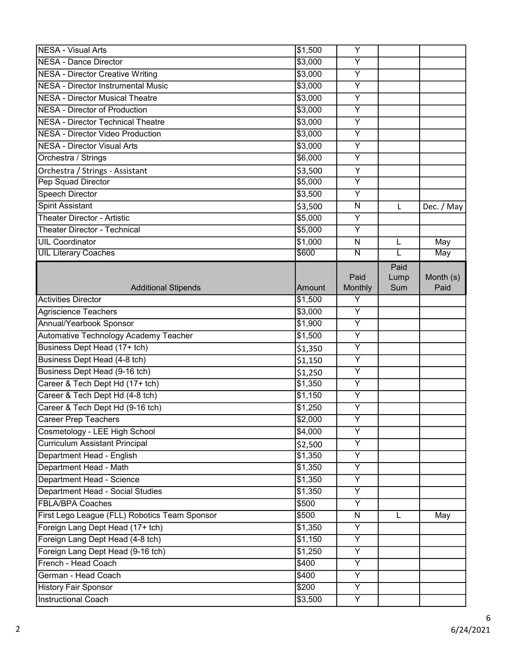| <b>NESA - Visual Arts</b>                     | \$1,500         | Y                       |      |            |
|-----------------------------------------------|-----------------|-------------------------|------|------------|
| <b>NESA - Dance Director</b>                  | \$3,000         | $\overline{Y}$          |      |            |
| <b>NESA - Director Creative Writing</b>       | \$3,000         | $\overline{Y}$          |      |            |
| <b>NESA - Director Instrumental Music</b>     | \$3,000         | $\overline{Y}$          |      |            |
| <b>NESA - Director Musical Theatre</b>        | \$3,000         | $\overline{Y}$          |      |            |
| <b>NESA - Director of Production</b>          | \$3,000         | $\overline{Y}$          |      |            |
| <b>NESA - Director Technical Theatre</b>      | \$3,000         | Y                       |      |            |
| <b>NESA - Director Video Production</b>       | \$3,000         | Y                       |      |            |
| <b>NESA - Director Visual Arts</b>            | \$3,000         | $\overline{\mathsf{Y}}$ |      |            |
| Orchestra / Strings                           | \$6,000         | Y                       |      |            |
| Orchestra / Strings - Assistant               | \$3,500         | Υ                       |      |            |
| Pep Squad Director                            | \$5,000         | $\overline{Y}$          |      |            |
| <b>Speech Director</b>                        | \$3,500         | Y                       |      |            |
| <b>Spirit Assistant</b>                       | \$3,500         | $\mathsf{N}$            | L    | Dec. / May |
| <b>Theater Director - Artistic</b>            | \$5,000         | Y                       |      |            |
| Theater Director - Technical                  | 5,000           | $\overline{\mathsf{Y}}$ |      |            |
| <b>UIL Coordinator</b>                        | \$1,000         | ${\sf N}$               | L    | May        |
| <b>UIL Literary Coaches</b>                   | \$600           | $\overline{\mathsf{N}}$ | L    | <b>May</b> |
|                                               |                 |                         | Paid |            |
|                                               |                 | Paid                    | Lump | Month (s)  |
| <b>Additional Stipends</b>                    | Amount          | Monthly                 | Sum  | Paid       |
| <b>Activities Director</b>                    | \$1,500         | Y                       |      |            |
| Agriscience Teachers                          | \$3,000         | $\overline{Y}$          |      |            |
| Annual/Yearbook Sponsor                       | \$1,900         | $\overline{Y}$          |      |            |
| Automative Technology Academy Teacher         | \$1,500         | $\overline{Y}$          |      |            |
| Business Dept Head (17+ tch)                  | \$1,350         | $\overline{Y}$          |      |            |
| Business Dept Head (4-8 tch)                  | \$1,150         | Y                       |      |            |
| Business Dept Head (9-16 tch)                 | \$1,250         | $\overline{Y}$          |      |            |
| Career & Tech Dept Hd (17+ tch)               | \$1,350         | Y                       |      |            |
| Career & Tech Dept Hd (4-8 tch)               | \$1,150         | Υ                       |      |            |
| Career & Tech Dept Hd (9-16 tch)              | \$1,250         | $\overline{Y}$          |      |            |
| <b>Career Prep Teachers</b>                   | \$2,000         | Y                       |      |            |
| Cosmetology - LEE High School                 | \$4,000         | Y                       |      |            |
| <b>Curriculum Assistant Principal</b>         | \$2,500         | $\overline{Y}$          |      |            |
| Department Head - English                     | \$1,350         | $\overline{Y}$          |      |            |
| Department Head - Math                        | \$1,350         | $\overline{Y}$          |      |            |
| Department Head - Science                     | \$1,350         | Y                       |      |            |
| Department Head - Social Studies              | \$1,350         | $\overline{Y}$          |      |            |
| <b>FBLA/BPA Coaches</b>                       | 5500            | Y                       |      |            |
| First Lego League (FLL) Robotics Team Sponsor | \$500           | $\mathsf{N}$            | L    | May        |
| Foreign Lang Dept Head (17+ tch)              | \$1,350         | $\overline{Y}$          |      |            |
| Foreign Lang Dept Head (4-8 tch)              | \$1,150         | $\overline{Y}$          |      |            |
| Foreign Lang Dept Head (9-16 tch)             | $\sqrt{$1,250}$ | $\overline{Y}$          |      |            |
| French - Head Coach                           | \$400           | $\overline{Y}$          |      |            |
| German - Head Coach                           | \$400           | Y                       |      |            |
| <b>History Fair Sponsor</b>                   | \$200           | Y                       |      |            |
| Instructional Coach                           | \$3,500         | Y                       |      |            |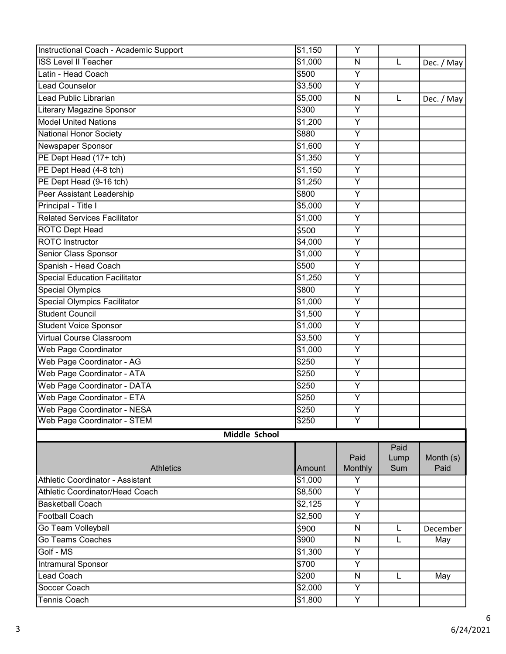| Instructional Coach - Academic Support | \$1,150           | Y                       |      |            |
|----------------------------------------|-------------------|-------------------------|------|------------|
| <b>ISS Level II Teacher</b>            | \$1,000           | $\overline{\mathsf{N}}$ | L    | Dec. / May |
| Latin - Head Coach                     | \$500             | Y                       |      |            |
| <b>Lead Counselor</b>                  | \$3,500           | $\overline{Y}$          |      |            |
| Lead Public Librarian                  | \$5,000           | N                       | L    | Dec. / May |
| <b>Literary Magazine Sponsor</b>       | $\sqrt{$300}$     | $\overline{Y}$          |      |            |
| <b>Model United Nations</b>            | \$1,200           | Y                       |      |            |
| <b>National Honor Society</b>          | \$880             | Y                       |      |            |
| Newspaper Sponsor                      | \$1,600           | $\overline{\mathsf{Y}}$ |      |            |
| PE Dept Head (17+ tch)                 | \$1,350           | Y                       |      |            |
| PE Dept Head (4-8 tch)                 | \$1,150           | $\overline{Y}$          |      |            |
| PE Dept Head (9-16 tch)                | \$1,250           | $\overline{Y}$          |      |            |
| Peer Assistant Leadership              | \$800             | $\overline{Y}$          |      |            |
| Principal - Title I                    | \$5,000           | Y                       |      |            |
| <b>Related Services Facilitator</b>    | \$1,000           | Y                       |      |            |
| <b>ROTC Dept Head</b>                  | \$500             | $\overline{\mathsf{Y}}$ |      |            |
| <b>ROTC</b> Instructor                 | \$4,000           | $\overline{Y}$          |      |            |
| Senior Class Sponsor                   | \$1,000           | $\overline{Y}$          |      |            |
| Spanish - Head Coach                   | \$500             | $\overline{Y}$          |      |            |
| <b>Special Education Facilitator</b>   | \$1,250           | Y                       |      |            |
| <b>Special Olympics</b>                | \$800             | $\overline{Y}$          |      |            |
| <b>Special Olympics Facilitator</b>    | \$1,000           | $\overline{Y}$          |      |            |
| <b>Student Council</b>                 | \$1,500           | $\overline{Y}$          |      |            |
| <b>Student Voice Sponsor</b>           | \$1,000           | $\overline{Y}$          |      |            |
| <b>Virtual Course Classroom</b>        | \$3,500           | $\overline{Y}$          |      |            |
| <b>Web Page Coordinator</b>            | \$1,000           | Y                       |      |            |
| Web Page Coordinator - AG              | $\overline{$}250$ | $\overline{Y}$          |      |            |
| Web Page Coordinator - ATA             | \$250             | $\overline{Y}$          |      |            |
| Web Page Coordinator - DATA            | \$250             | Y                       |      |            |
| Web Page Coordinator - ETA             | \$250             | $\overline{Y}$          |      |            |
| Web Page Coordinator - NESA            | $\sqrt{$250}$     | $\overline{Y}$          |      |            |
| <b>Web Page Coordinator - STEM</b>     | \$250             | Y                       |      |            |
| Middle School                          |                   |                         |      |            |
|                                        |                   |                         | Paid |            |
|                                        |                   | Paid                    | Lump | Month (s)  |
| <b>Athletics</b>                       | Amount            | Monthly                 | Sum  | Paid       |
| Athletic Coordinator - Assistant       | \$1,000           | Υ                       |      |            |
| Athletic Coordinator/Head Coach        | \$8,500           | $\overline{Y}$          |      |            |
| <b>Basketball Coach</b>                | \$2,125           | $\overline{Y}$          |      |            |
| <b>Football Coach</b>                  | \$2,500           | $\overline{Y}$          |      |            |
| Go Team Volleyball                     | \$900             | N                       | L    | December   |
| Go Teams Coaches                       | \$900             | N                       | L    | May        |
| Golf - MS                              | \$1,300           | $\overline{Y}$          |      |            |
| Intramural Sponsor                     | \$700             | $\overline{Y}$          |      |            |
| <b>Lead Coach</b>                      | \$200             | $\overline{\mathsf{N}}$ | L    | May        |
| Soccer Coach                           | \$2,000           | $\overline{Y}$          |      |            |
| <b>Tennis Coach</b>                    | \$1,800           | Y                       |      |            |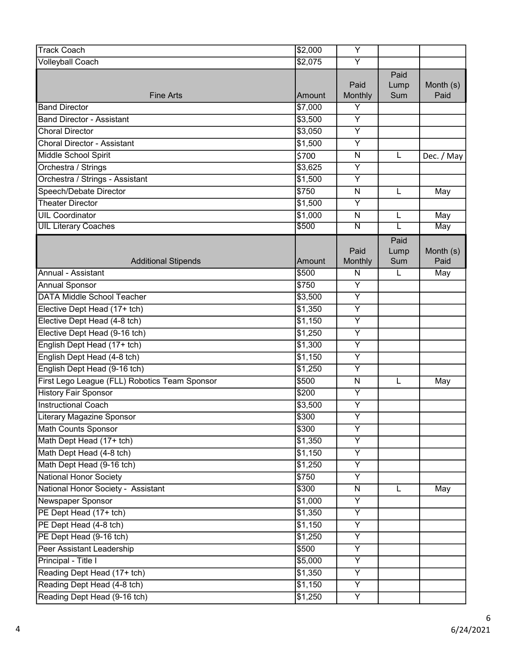| <b>Track Coach</b>                            | \$2,000 | $\overline{Y}$          |                     |                   |
|-----------------------------------------------|---------|-------------------------|---------------------|-------------------|
| <b>Volleyball Coach</b>                       | \$2,075 | $\overline{Y}$          |                     |                   |
| <b>Fine Arts</b>                              | Amount  | Paid<br>Monthly         | Paid<br>Lump<br>Sum | Month (s)<br>Paid |
| <b>Band Director</b>                          | \$7,000 | Y                       |                     |                   |
| <b>Band Director - Assistant</b>              | \$3,500 | $\overline{Y}$          |                     |                   |
| <b>Choral Director</b>                        | \$3,050 | $\overline{Y}$          |                     |                   |
| <b>Choral Director - Assistant</b>            | \$1,500 | Y                       |                     |                   |
| Middle School Spirit                          | \$700   | N                       | L                   | Dec. / May        |
| Orchestra / Strings                           | \$3,625 | $\overline{Y}$          |                     |                   |
| Orchestra / Strings - Assistant               | \$1,500 | $\overline{Y}$          |                     |                   |
| Speech/Debate Director                        | \$750   | N                       | L                   | May               |
| <b>Theater Director</b>                       | \$1,500 | $\overline{Y}$          |                     |                   |
| <b>UIL Coordinator</b>                        | \$1,000 | $\overline{\mathsf{N}}$ | L                   | May               |
| <b>UIL Literary Coaches</b>                   | \$500   | Ν                       | L                   | May               |
| <b>Additional Stipends</b>                    | lAmount | Paid<br>Monthly         | Paid<br>Lump<br>Sum | Month (s)<br>Paid |
| Annual - Assistant                            | \$500   | N                       | L                   | May               |
| <b>Annual Sponsor</b>                         | \$750   | Υ                       |                     |                   |
| <b>DATA Middle School Teacher</b>             | \$3,500 | $\overline{Y}$          |                     |                   |
| Elective Dept Head (17+ tch)                  | \$1,350 | $\overline{\mathsf{Y}}$ |                     |                   |
| Elective Dept Head (4-8 tch)                  | \$1,150 | Υ                       |                     |                   |
| Elective Dept Head (9-16 tch)                 | \$1,250 | $\overline{Y}$          |                     |                   |
| English Dept Head (17+ tch)                   | \$1,300 | Υ                       |                     |                   |
| English Dept Head (4-8 tch)                   | \$1,150 | $\overline{Y}$          |                     |                   |
| English Dept Head (9-16 tch)                  | \$1,250 | $\overline{Y}$          |                     |                   |
| First Lego League (FLL) Robotics Team Sponsor | \$500   | $\mathsf{N}$            | L                   | May               |
| <b>History Fair Sponsor</b>                   | \$200   | $\overline{Y}$          |                     |                   |
| <b>Instructional Coach</b>                    | \$3,500 | $\overline{Y}$          |                     |                   |
| Literary Magazine Sponsor                     | \$300   | Υ                       |                     |                   |
| Math Counts Sponsor                           | \$300   | $\overline{\mathsf{Y}}$ |                     |                   |
| Math Dept Head (17+ tch)                      | \$1,350 | $\overline{\mathsf{Y}}$ |                     |                   |
| Math Dept Head (4-8 tch)                      | \$1,150 | Y                       |                     |                   |
| Math Dept Head (9-16 tch)                     | \$1,250 | Y                       |                     |                   |
| <b>National Honor Society</b>                 | \$750   | $\overline{\mathsf{Y}}$ |                     |                   |
| National Honor Society - Assistant            | \$300   | N                       | L                   | May               |
| Newspaper Sponsor                             | \$1,000 | $\overline{Y}$          |                     |                   |
| PE Dept Head (17+ tch)                        | \$1,350 | $\overline{Y}$          |                     |                   |
| PE Dept Head (4-8 tch)                        | \$1,150 | $\overline{Y}$          |                     |                   |
| PE Dept Head (9-16 tch)                       | \$1,250 | Y                       |                     |                   |
| Peer Assistant Leadership                     | \$500   | Y                       |                     |                   |
| Principal - Title I                           | \$5,000 | $\overline{\mathsf{Y}}$ |                     |                   |
| Reading Dept Head (17+ tch)                   | \$1,350 | $\overline{Y}$          |                     |                   |
| Reading Dept Head (4-8 tch)                   | \$1,150 | $\overline{Y}$          |                     |                   |
| Reading Dept Head (9-16 tch)                  | \$1,250 | Y                       |                     |                   |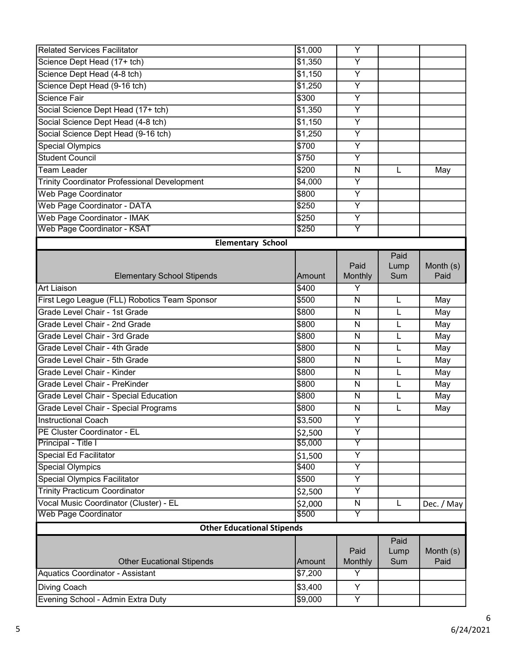| <b>Related Services Facilitator</b>                 | \$1,000 | Υ                       |      |            |  |
|-----------------------------------------------------|---------|-------------------------|------|------------|--|
| Science Dept Head (17+ tch)                         | \$1,350 | $\overline{Y}$          |      |            |  |
| Science Dept Head (4-8 tch)                         | \$1,150 | Υ                       |      |            |  |
| Science Dept Head (9-16 tch)                        | \$1,250 | $\overline{Y}$          |      |            |  |
| Science Fair                                        | \$300   | $\overline{Y}$          |      |            |  |
| Social Science Dept Head (17+ tch)                  | \$1,350 | Y                       |      |            |  |
| Social Science Dept Head (4-8 tch)                  | \$1,150 | Y                       |      |            |  |
| Social Science Dept Head (9-16 tch)                 | \$1,250 | $\overline{Y}$          |      |            |  |
| <b>Special Olympics</b>                             | \$700   | $\overline{Y}$          |      |            |  |
| <b>Student Council</b>                              | \$750   | Y                       |      |            |  |
| <b>Team Leader</b>                                  | \$200   | $\mathsf{N}$            | L    | May        |  |
| <b>Trinity Coordinator Professional Development</b> | \$4,000 | $\overline{Y}$          |      |            |  |
| Web Page Coordinator                                | \$800   | Y                       |      |            |  |
| Web Page Coordinator - DATA                         | \$250   | $\overline{Y}$          |      |            |  |
| Web Page Coordinator - IMAK                         | \$250   | Y                       |      |            |  |
| <b>Web Page Coordinator - KSAT</b>                  | \$250   | $\overline{\mathsf{Y}}$ |      |            |  |
| <b>Elementary School</b>                            |         |                         |      |            |  |
|                                                     |         |                         | Paid |            |  |
|                                                     |         | Paid                    | Lump | Month (s)  |  |
| <b>Elementary School Stipends</b>                   | Amount  | Monthly                 | Sum  | Paid       |  |
| Art Liaison                                         | \$400   | Y                       |      |            |  |
| First Lego League (FLL) Robotics Team Sponsor       | \$500   | $\mathsf{N}$            | L    | May        |  |
| Grade Level Chair - 1st Grade                       | \$800   | N                       | L    | May        |  |
| Grade Level Chair - 2nd Grade                       | \$800   | N                       | L    | May        |  |
| Grade Level Chair - 3rd Grade                       | \$800   | $\mathsf{N}$            | L    | May        |  |
| Grade Level Chair - 4th Grade                       | \$800   | N                       | L    | May        |  |
| Grade Level Chair - 5th Grade                       | \$800   | $\mathsf{N}$            | L    | May        |  |
| Grade Level Chair - Kinder                          | \$800   | N                       | L    | May        |  |
| Grade Level Chair - PreKinder                       | \$800   | N                       | L    | May        |  |
| Grade Level Chair - Special Education               | \$800   | $\mathsf{N}$            | L    | May        |  |
| Grade Level Chair - Special Programs                | \$800   | N                       | L    | May        |  |
| <b>Instructional Coach</b>                          | \$3,500 | Y                       |      |            |  |
| PE Cluster Coordinator - EL                         | \$2,500 | $\overline{Y}$          |      |            |  |
| Principal - Title I                                 | \$5,000 | $\overline{\mathsf{Y}}$ |      |            |  |
| Special Ed Facilitator                              | \$1,500 | Y                       |      |            |  |
| <b>Special Olympics</b>                             | \$400   | $\overline{Y}$          |      |            |  |
| <b>Special Olympics Facilitator</b>                 | \$500   | Y                       |      |            |  |
| <b>Trinity Practicum Coordinator</b>                | \$2,500 | Υ                       |      |            |  |
| Vocal Music Coordinator (Cluster) - EL              | \$2,000 | N                       | L    | Dec. / May |  |
| <b>Web Page Coordinator</b>                         | \$500   | Y                       |      |            |  |
| <b>Other Educational Stipends</b>                   |         |                         |      |            |  |
|                                                     |         |                         | Paid |            |  |
|                                                     |         | Paid                    | Lump | Month (s)  |  |
| <b>Other Eucational Stipends</b>                    | Amount  | Monthly                 | Sum  | Paid       |  |
| Aquatics Coordinator - Assistant                    | \$7,200 | Y                       |      |            |  |
| Diving Coach                                        | \$3,400 | Y                       |      |            |  |
| Evening School - Admin Extra Duty                   | \$9,000 | $\overline{Y}$          |      |            |  |